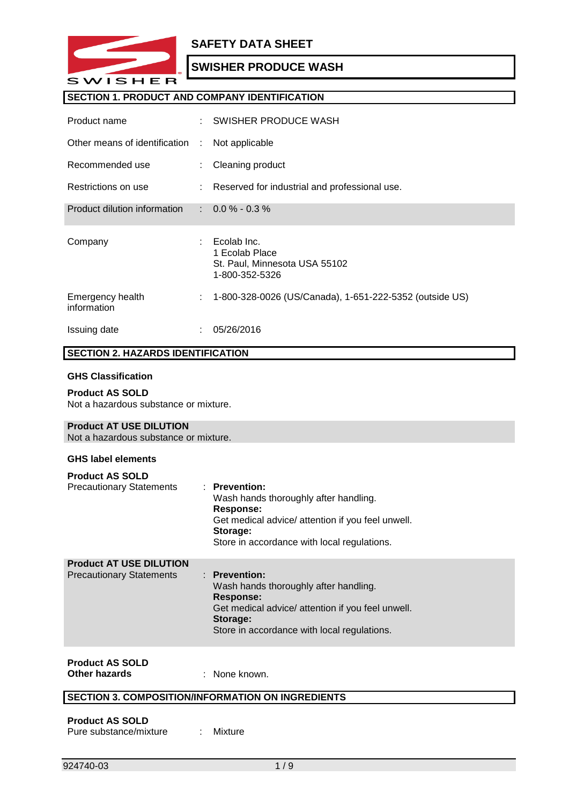

# **SECTION 1. PRODUCT AND COMPANY IDENTIFICATION**

| Product name                    | ÷. | AC Veggie Wash                                                                            |
|---------------------------------|----|-------------------------------------------------------------------------------------------|
| Other means of identification : |    | <b>FM9060</b>                                                                             |
| Recommended use                 | ÷. | Cleaning product                                                                          |
| Restrictions on use             | ÷. | Reserved for industrial and professional use.                                             |
| Product dilution information    |    | $\therefore$ 0.0 % - 0.3 %                                                                |
|                                 |    |                                                                                           |
| Company                         |    | : Accurate Chemical and Supplies<br>731 W Fairmont Dr Tempe, A<br>85282<br>1-800-870-8508 |
| Emergency health<br>information | ÷  | 1-800-424-9300 CHEMTREC                                                                   |

# **SECTION 2. HAZARDS IDENTIFICATION**

#### **GHS Classification**

**Product AS SOLD** Not a hazardous substance or mixture.

#### **Product AT USE DILUTION**

Not a hazardous substance or mixture.

#### **GHS label elements**

| <b>Product AS SOLD</b><br><b>Precautionary Statements</b>         | $:$ Prevention:<br>Wash hands thoroughly after handling.<br>Response:<br>Get medical advice/ attention if you feel unwell.<br>Storage:<br>Store in accordance with local regulations. |  |
|-------------------------------------------------------------------|---------------------------------------------------------------------------------------------------------------------------------------------------------------------------------------|--|
| <b>Product AT USE DILUTION</b><br><b>Precautionary Statements</b> | $:$ Prevention:<br>Wash hands thoroughly after handling.<br>Response:<br>Get medical advice/ attention if you feel unwell.<br>Storage:                                                |  |

Store in accordance with local regulations.

# **Product AS SOLD**

**Other hazards** : None known.

# **SECTION 3. COMPOSITION/INFORMATION ON INGREDIENTS**

**Product AS SOLD** Pure substance/mixture : Mixture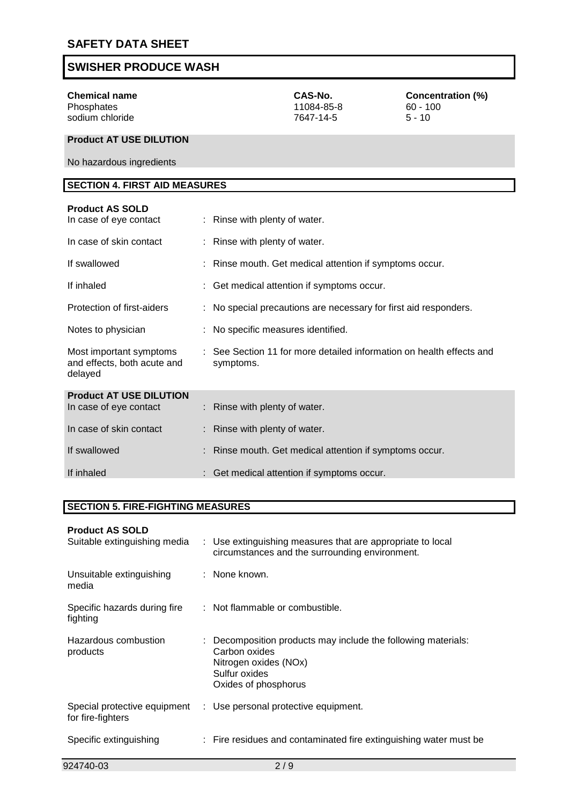

| <b>Chemical name</b><br>Glycerin                                  |                               | CAS-No.<br>56-81-5                                    | <b>Concentration (%)</b><br>$1 - 5$                                  |
|-------------------------------------------------------------------|-------------------------------|-------------------------------------------------------|----------------------------------------------------------------------|
| <b>Product AT USE DILUTION</b>                                    |                               |                                                       |                                                                      |
| No hazardous ingredients                                          |                               |                                                       |                                                                      |
| <b>SECTION 4. FIRST AID MEASURES</b>                              |                               |                                                       |                                                                      |
| <b>Product AS SOLD</b><br>In case of eye contact                  | : Rinse with plenty of water. |                                                       |                                                                      |
| In case of skin contact                                           | Rinse with plenty of water.   |                                                       |                                                                      |
| If swallowed                                                      |                               | Rinse mouth. Get medical attention if symptoms occur. |                                                                      |
| If inhaled                                                        |                               | Get medical attention if symptoms occur.              |                                                                      |
| Protection of first-aiders                                        |                               |                                                       | No special precautions are necessary for first aid responders.       |
| Notes to physician                                                |                               | No specific measures identified.                      |                                                                      |
| Most important symptoms<br>and effects, both acute and<br>delayed | symptoms.                     |                                                       | : See Section 11 for more detailed information on health effects and |
| <b>Product AT USE DILUTION</b>                                    |                               |                                                       |                                                                      |
| In case of eye contact                                            | Rinse with plenty of water.   |                                                       |                                                                      |
| In case of skin contact                                           | Rinse with plenty of water.   |                                                       |                                                                      |
| If swallowed                                                      |                               | Rinse mouth. Get medical attention if symptoms occur. |                                                                      |

If inhaled : Get medical attention if symptoms occur.

# **SECTION 5. FIRE-FIGHTING MEASURES**

# **Product AS SOLD**

| Suitable extinguishing media                      | : Use extinguishing measures that are appropriate to local<br>circumstances and the surrounding environment.                                     |
|---------------------------------------------------|--------------------------------------------------------------------------------------------------------------------------------------------------|
| Unsuitable extinguishing<br>media                 | $:$ None known.                                                                                                                                  |
| Specific hazards during fire<br>fighting          | : Not flammable or combustible.                                                                                                                  |
| Hazardous combustion<br>products                  | : Decomposition products may include the following materials:<br>Carbon oxides<br>Nitrogen oxides (NOx)<br>Sulfur oxides<br>Oxides of phosphorus |
| Special protective equipment<br>for fire-fighters | : Use personal protective equipment.                                                                                                             |
| Specific extinguishing                            | : Fire residues and contaminated fire extinguishing water must be                                                                                |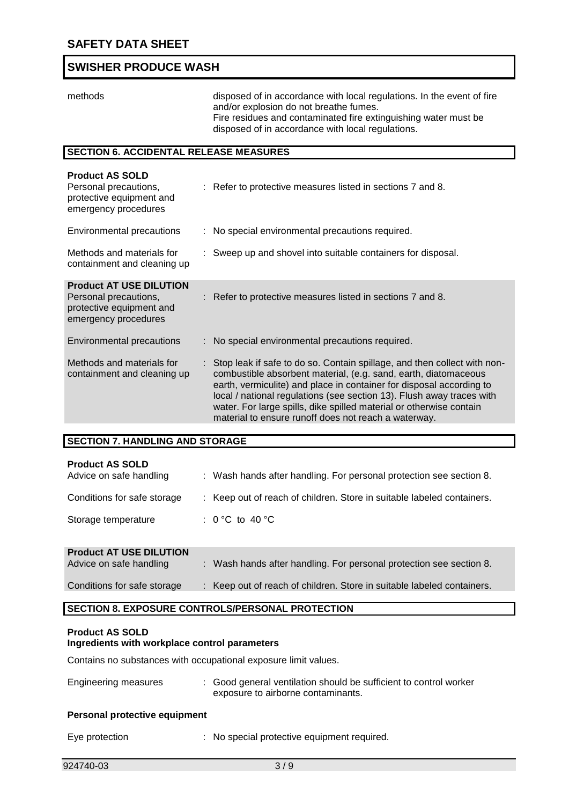

methods disposed of in accordance with local regulations. In the event of fire and/or explosion do not breathe fumes. Fire residues and contaminated fire extinguishing water must be disposed of in accordance with local regulations.

# **SECTION 6. ACCIDENTAL RELEASE MEASURES**

| <b>Product AS SOLD</b><br>Personal precautions,<br>protective equipment and<br>emergency procedures         | : Refer to protective measures listed in sections 7 and 8.                                                                                                                                                                                                                                                                                                                                                                    |
|-------------------------------------------------------------------------------------------------------------|-------------------------------------------------------------------------------------------------------------------------------------------------------------------------------------------------------------------------------------------------------------------------------------------------------------------------------------------------------------------------------------------------------------------------------|
| Environmental precautions                                                                                   | : No special environmental precautions required.                                                                                                                                                                                                                                                                                                                                                                              |
| Methods and materials for<br>containment and cleaning up                                                    | : Sweep up and shovel into suitable containers for disposal.                                                                                                                                                                                                                                                                                                                                                                  |
| <b>Product AT USE DILUTION</b><br>Personal precautions,<br>protective equipment and<br>emergency procedures | : Refer to protective measures listed in sections 7 and 8.                                                                                                                                                                                                                                                                                                                                                                    |
| Environmental precautions                                                                                   | : No special environmental precautions required.                                                                                                                                                                                                                                                                                                                                                                              |
| Methods and materials for<br>containment and cleaning up                                                    | : Stop leak if safe to do so. Contain spillage, and then collect with non-<br>combustible absorbent material, (e.g. sand, earth, diatomaceous<br>earth, vermiculite) and place in container for disposal according to<br>local / national regulations (see section 13). Flush away traces with<br>water. For large spills, dike spilled material or otherwise contain<br>material to ensure runoff does not reach a waterway. |

#### **SECTION 7. HANDLING AND STORAGE**

| <b>Product AS SOLD</b><br>Advice on safe handling         | : Wash hands after handling. For personal protection see section 8.    |
|-----------------------------------------------------------|------------------------------------------------------------------------|
| Conditions for safe storage                               | : Keep out of reach of children. Store in suitable labeled containers. |
| Storage temperature                                       | : 0 °C to 40 °C                                                        |
| <b>Product AT USE DILUTION</b><br>Advice on safe handling | : Wash hands after handling. For personal protection see section 8.    |

# Conditions for safe storage : Keep out of reach of children. Store in suitable labeled containers.

## **SECTION 8. EXPOSURE CONTROLS/PERSONAL PROTECTION**

#### **Product AS SOLD Ingredients with workplace control parameters**

Contains no substances with occupational exposure limit values.

| Engineering measures | : Good general ventilation should be sufficient to control worker |
|----------------------|-------------------------------------------------------------------|
|                      | exposure to airborne contaminants.                                |
|                      |                                                                   |

#### **Personal protective equipment**

Eye protection : No special protective equipment required.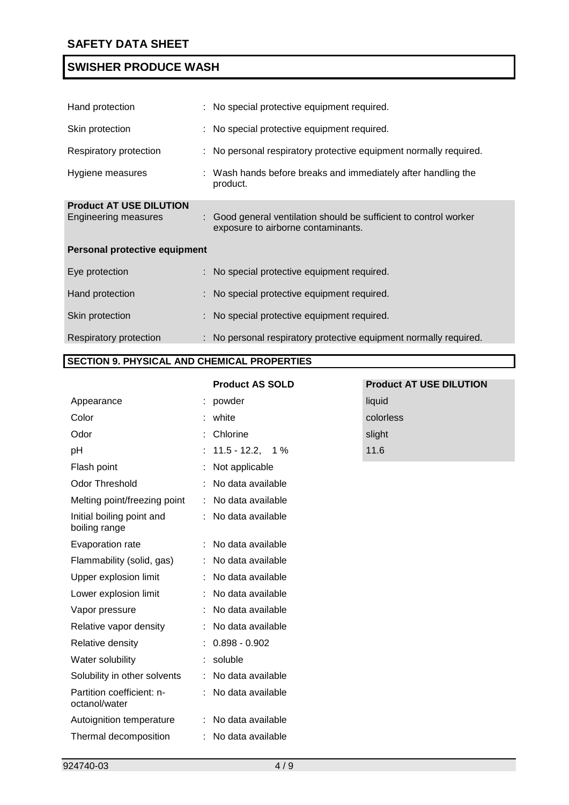

**Product AT USE DILUTION**

| Hand protection                                        | : No special protective equipment required.                                                             |
|--------------------------------------------------------|---------------------------------------------------------------------------------------------------------|
| Skin protection                                        | : No special protective equipment required.                                                             |
| Respiratory protection                                 | : No personal respiratory protective equipment normally required.                                       |
| Hygiene measures                                       | : Wash hands before breaks and immediately after handling the<br>product.                               |
| <b>Product AT USE DILUTION</b><br>Engineering measures | : Good general ventilation should be sufficient to control worker<br>exposure to airborne contaminants. |
| Personal protective equipment                          |                                                                                                         |
| Eye protection                                         | : No special protective equipment required.                                                             |
| Hand protection                                        | : No special protective equipment required.                                                             |
| Skin protection                                        | : No special protective equipment required.                                                             |
| Respiratory protection                                 | : No personal respiratory protective equipment normally required.                                       |

# **SECTION 9. PHYSICAL AND CHEMICAL PROPERTIES**

| <b>Product AS SOLD:</b> |  |  |  |
|-------------------------|--|--|--|
|-------------------------|--|--|--|

| Appearance                                 | liquid            | liquid    |
|--------------------------------------------|-------------------|-----------|
| Color                                      | clear             | colorless |
| Odor                                       | slight            | slight    |
| pH                                         | 1%<br>2.47,       | 2.47      |
| Flash point                                | Not applicable    |           |
| <b>Odor Threshold</b>                      | No data available |           |
| Melting point/freezing point               | No data available |           |
| Initial boiling point and<br>boiling range | No data available |           |
| Evaporation rate                           | No data available |           |
| Flammability (solid, gas)                  | No data available |           |
| Upper explosion limit                      | No data available |           |
| Lower explosion limit                      | No data available |           |
| Vapor pressure                             | No data available |           |
| Relative vapor density                     | No data available |           |
| Relative density                           | 1.013             |           |
| Water solubility                           | soluble           |           |
| Solubility in other solvents               | No data available |           |
| Partition coefficient: n-<br>octanol/water | No data available |           |
| Autoignition temperature                   | No data available |           |
| Thermal decomposition                      | No data available |           |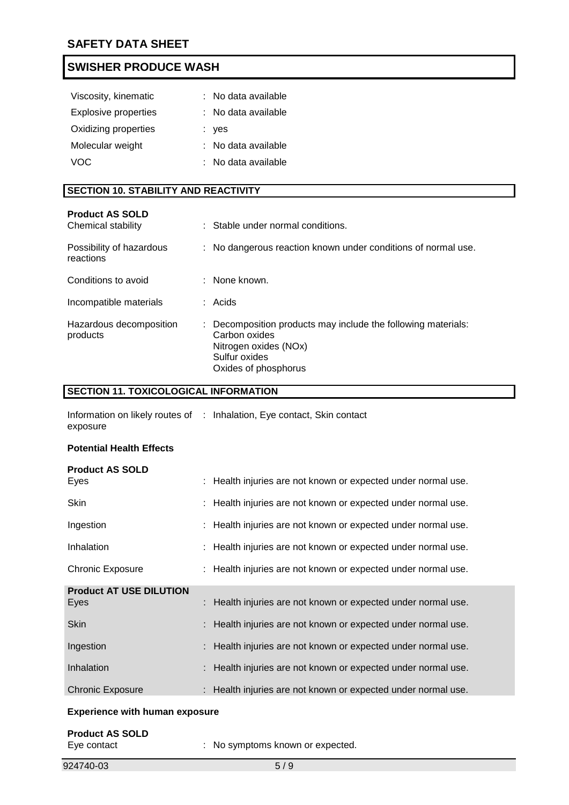

| No data available |
|-------------------|
| No data available |
| no                |
| No data available |
| No data available |
|                   |

### **SECTION 10. STABILITY AND REACTIVITY**

| <b>Product AS SOLD</b><br>Chemical stability |   | : Stable under normal conditions.                               |
|----------------------------------------------|---|-----------------------------------------------------------------|
| Possibility of hazardous<br>reactions        | ÷ | No dangerous reaction known under conditions of normal use.     |
| Conditions to avoid                          |   | None known.                                                     |
| Incompatible materials                       |   | $:$ Acids                                                       |
| Hazardous decomposition<br>products          | ÷ | Decomposition products may include the following materials: N/A |

# **SECTION 11. TOXICOLOGICAL INFORMATION**

Information on likely routes of : Inhalation, Eye contact, Skin contact exposure

#### **Potential Health Effects**

| <b>Product AS SOLD</b><br>Eyes               | : Health injuries are not known or expected under normal use. |
|----------------------------------------------|---------------------------------------------------------------|
| Skin                                         | : Health injuries are not known or expected under normal use. |
| Ingestion                                    | : Health injuries are not known or expected under normal use. |
| Inhalation                                   | : Health injuries are not known or expected under normal use. |
| <b>Chronic Exposure</b>                      | : Health injuries are not known or expected under normal use. |
| <b>Product AT USE DILUTION</b><br>Eyes       | : Health injuries are not known or expected under normal use. |
| <b>Skin</b>                                  | : Health injuries are not known or expected under normal use. |
| Ingestion                                    | : Health injuries are not known or expected under normal use. |
| Inhalation                                   | : Health injuries are not known or expected under normal use. |
| <b>Chronic Exposure</b>                      | : Health injuries are not known or expected under normal use. |
| Formation and the company of the first state |                                                               |

#### **Experience with human exposure**

| <b>Product AS SOLD</b> |                                  |
|------------------------|----------------------------------|
| Eye contact            | : No symptoms known or expected. |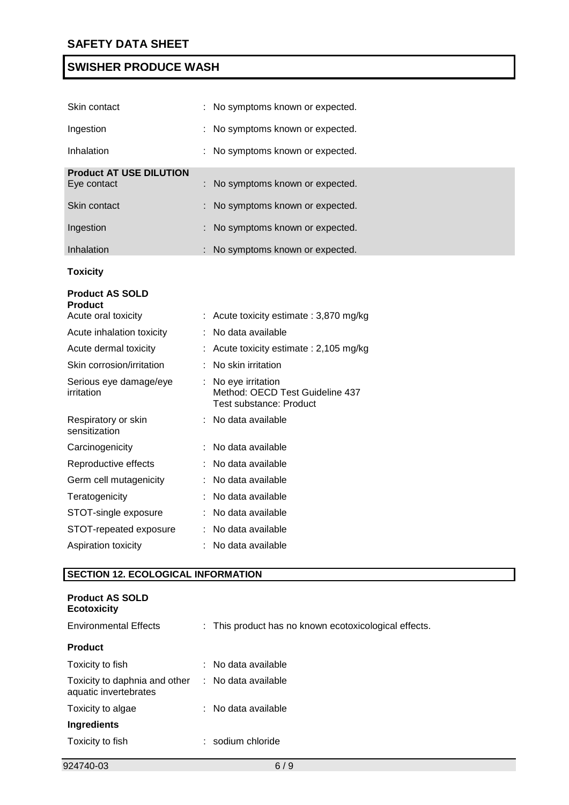

| Skin contact                             | No symptoms known or expected.                                                           |
|------------------------------------------|------------------------------------------------------------------------------------------|
| Ingestion                                | No symptoms known or expected.                                                           |
| Inhalation                               | No symptoms known or expected.                                                           |
| <b>Product AT USE DILUTION</b>           |                                                                                          |
| Eye contact                              | No symptoms known or expected.                                                           |
| Skin contact                             | No symptoms known or expected.                                                           |
| Ingestion                                | No symptoms known or expected.                                                           |
| Inhalation                               | No symptoms known or expected.                                                           |
| <b>Toxicity</b>                          |                                                                                          |
| <b>Product AS SOLD</b><br><b>Product</b> |                                                                                          |
| Acute oral toxicity                      | : Acute toxicity estimate : 3,870 mg/kg                                                  |
| Acute inhalation toxicity                | No data available                                                                        |
| Acute dermal toxicity                    | : Acute toxicity estimate : 2,105 mg/kg                                                  |
| Skin corrosion/irritation                | No skin irritation                                                                       |
| Serious eye damage/eye<br>irritation     | : No eye irritation<br>Method: OECD Test Guideline 437<br><b>Test substance: Product</b> |
| Respiratory or skin<br>sensitization     | : No data available                                                                      |
| Carcinogenicity                          | No data available                                                                        |
| Reproductive effects                     | No data available                                                                        |
| Germ cell mutagenicity                   | : No data available                                                                      |
| Teratogenicity                           | No data available                                                                        |
| STOT-single exposure                     | No data available                                                                        |
| STOT-repeated exposure                   | No data available                                                                        |
| Aspiration toxicity                      | No data available                                                                        |

# **SECTION 12. ECOLOGICAL INFORMATION**

| <b>Product AS SOLD</b><br><b>Ecotoxicity</b>           |                                                       |
|--------------------------------------------------------|-------------------------------------------------------|
| <b>Environmental Effects</b>                           | : This product has no known ecotoxicological effects. |
| <b>Product</b>                                         |                                                       |
| Toxicity to fish                                       | No data available                                     |
| Toxicity to daphnia and other<br>aquatic invertebrates | No data available                                     |
| Toxicity to algae                                      | No data available                                     |
| <b>Ingredients</b>                                     |                                                       |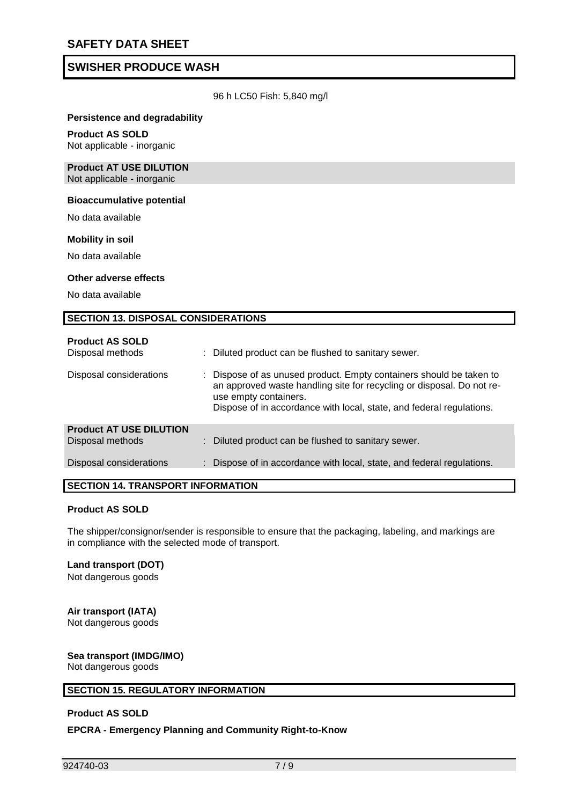

#### **Persistence and degradability**

#### **Product AS SOLD**

Not applicable - inorganic

#### **Product AT USE DILUTION** Not applicable - inorganic

#### **Bioaccumulative potential**

No data available

#### **Mobility in soil**

No data available

#### **Other adverse effects**

No data available

#### **SECTION 13. DISPOSAL CONSIDERATIONS**

| <b>Product AS SOLD</b><br>Disposal methods         | : Diluted product can be flushed to sanitary sewer.                                                                                                                                                                                         |
|----------------------------------------------------|---------------------------------------------------------------------------------------------------------------------------------------------------------------------------------------------------------------------------------------------|
| Disposal considerations                            | Dispose of as unused product. Empty containers should be taken to<br>an approved waste handling site for recycling or disposal. Do not re-<br>use empty containers.<br>Dispose of in accordance with local, state, and federal regulations. |
| <b>Product AT USE DILUTION</b><br>Disposal methods | : Diluted product can be flushed to sanitary sewer.                                                                                                                                                                                         |
| Disposal considerations                            | : Dispose of in accordance with local, state, and federal regulations.                                                                                                                                                                      |

#### **SECTION 14. TRANSPORT INFORMATION**

#### **Product AS SOLD**

The shipper/consignor/sender is responsible to ensure that the packaging, labeling, and markings are in compliance with the selected mode of transport.

# **Land transport (DOT)**

Not dangerous goods

# **Air transport (IATA)**

Not dangerous goods

#### **Sea transport (IMDG/IMO)** Not dangerous goods

## **SECTION 15. REGULATORY INFORMATION**

#### **Product AS SOLD**

**EPCRA - Emergency Planning and Community Right-to-Know**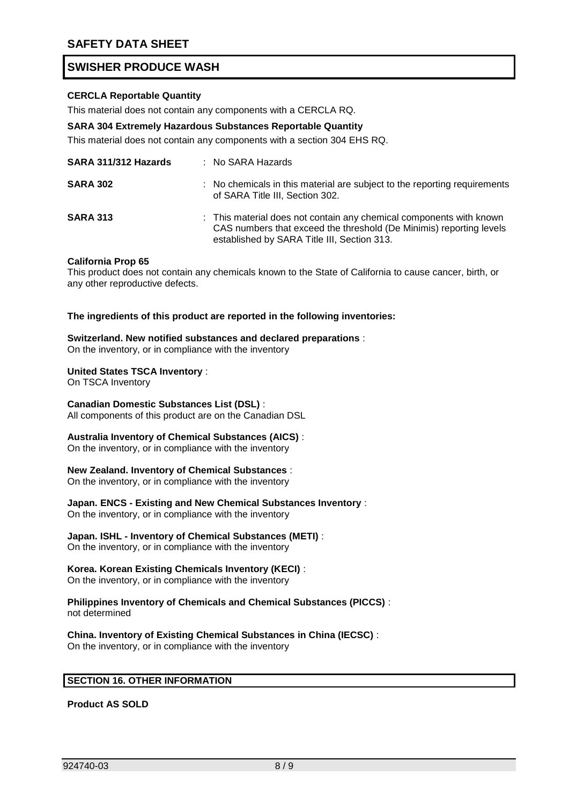

## **CERCLA Reportable Quantity**

This material does not contain any components with a CERCLA RQ.

#### **SARA 304 Extremely Hazardous Substances Reportable Quantity**

This material does not contain any components with a section 304 EHS RQ.

| SARA 311/312 Hazards | $:$ No SARA Hazards                                                                                                                                                                       |
|----------------------|-------------------------------------------------------------------------------------------------------------------------------------------------------------------------------------------|
| <b>SARA 302</b>      | : No chemicals in this material are subject to the reporting requirements<br>of SARA Title III, Section 302.                                                                              |
| <b>SARA 313</b>      | : This material does not contain any chemical components with known<br>CAS numbers that exceed the threshold (De Minimis) reporting levels<br>established by SARA Title III, Section 313. |

#### **California Prop 65**

This product does not contain any chemicals known to the State of California to cause cancer, birth, or any other reproductive defects.

**The ingredients of this product are reported in the following inventories:** 

#### **Switzerland. New notified substances and declared preparations** :

On the inventory, or in compliance with the inventory

#### **United States TSCA Inventory** :

On TSCA Inventory

#### **Canadian Domestic Substances List (DSL)** :

All components of this product are on the Canadian DSL

#### **Australia Inventory of Chemical Substances (AICS)** :

On the inventory, or in compliance with the inventory

#### **New Zealand. Inventory of Chemical Substances** :

On the inventory, or in compliance with the inventory

# **Japan. ENCS - Existing and New Chemical Substances Inventory** :

On the inventory, or in compliance with the inventory

# **Japan. ISHL - Inventory of Chemical Substances (METI)** :

On the inventory, or in compliance with the inventory

### **Korea. Korean Existing Chemicals Inventory (KECI)** :

On the inventory, or in compliance with the inventory

#### **Philippines Inventory of Chemicals and Chemical Substances (PICCS)** : not determined

**China. Inventory of Existing Chemical Substances in China (IECSC)** : On the inventory, or in compliance with the inventory

### **SECTION 16. OTHER INFORMATION**

**Product AS SOLD**